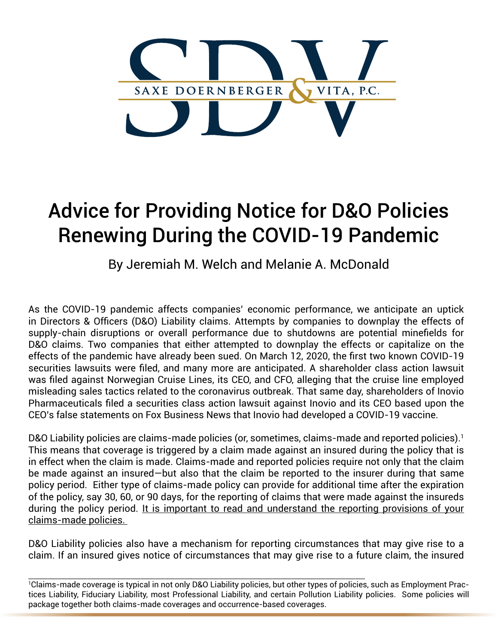

## Advice for Providing Notice for D&O Policies Renewing During the COVID-19 Pandemic

By Jeremiah M. Welch and Melanie A. McDonald

As the COVID-19 pandemic affects companies' economic performance, we anticipate an uptick in Directors & Officers (D&O) Liability claims. Attempts by companies to downplay the effects of supply-chain disruptions or overall performance due to shutdowns are potential minefields for D&O claims. Two companies that either attempted to downplay the effects or capitalize on the effects of the pandemic have already been sued. On March 12, 2020, the first two known COVID-19 securities lawsuits were filed, and many more are anticipated. A shareholder class action lawsuit was filed against Norwegian Cruise Lines, its CEO, and CFO, alleging that the cruise line employed misleading sales tactics related to the coronavirus outbreak. That same day, shareholders of Inovio Pharmaceuticals filed a securities class action lawsuit against Inovio and its CEO based upon the CEO's false statements on Fox Business News that Inovio had developed a COVID-19 vaccine.

D&O Liability policies are claims-made policies (or, sometimes, claims-made and reported policies).<sup>1</sup> This means that coverage is triggered by a claim made against an insured during the policy that is in effect when the claim is made. Claims-made and reported policies require not only that the claim be made against an insured—but also that the claim be reported to the insurer during that same policy period. Either type of claims-made policy can provide for additional time after the expiration of the policy, say 30, 60, or 90 days, for the reporting of claims that were made against the insureds during the policy period. It is important to read and understand the reporting provisions of your claims-made policies.

D&O Liability policies also have a mechanism for reporting circumstances that may give rise to a claim. If an insured gives notice of circumstances that may give rise to a future claim, the insured

\_\_\_\_\_\_\_\_\_\_\_\_\_\_\_\_\_\_\_\_\_\_\_\_\_\_\_\_\_\_\_\_\_\_\_\_\_\_\_\_\_\_\_\_\_\_\_\_\_\_\_\_\_\_\_\_\_\_\_\_\_\_\_\_\_\_\_\_\_ 1 Claims-made coverage is typical in not only D&O Liability policies, but other types of policies, such as Employment Practices Liability, Fiduciary Liability, most Professional Liability, and certain Pollution Liability policies. Some policies will package together both claims-made coverages and occurrence-based coverages.